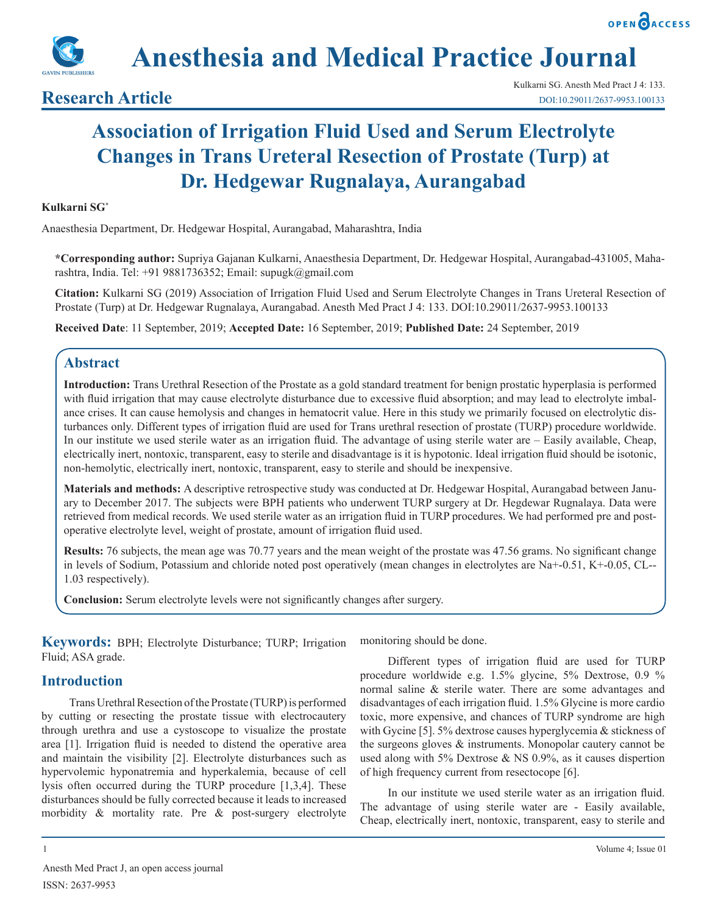**Anesthesia and Medical Practice Journal**

## **Research Article**

# **Association of Irrigation Fluid Used and Serum Electrolyte Changes in Trans Ureteral Resection of Prostate (Turp) at Dr. Hedgewar Rugnalaya, Aurangabad**

#### **Kulkarni SG\***

Anaesthesia Department, Dr. Hedgewar Hospital, Aurangabad, Maharashtra, India

**\*Corresponding author:** Supriya Gajanan Kulkarni, Anaesthesia Department, Dr. Hedgewar Hospital, Aurangabad-431005, Maharashtra, India. Tel: +91 9881736352; Email: supugk@gmail.com

**Citation:** Kulkarni SG (2019) Association of Irrigation Fluid Used and Serum Electrolyte Changes in Trans Ureteral Resection of Prostate (Turp) at Dr. Hedgewar Rugnalaya, Aurangabad. Anesth Med Pract J 4: 133. DOI:10.29011/2637-9953.100133

**Received Date**: 11 September, 2019; **Accepted Date:** 16 September, 2019; **Published Date:** 24 September, 2019

## **Abstract**

**Introduction:** Trans Urethral Resection of the Prostate as a gold standard treatment for benign prostatic hyperplasia is performed with fluid irrigation that may cause electrolyte disturbance due to excessive fluid absorption; and may lead to electrolyte imbalance crises. It can cause hemolysis and changes in hematocrit value. Here in this study we primarily focused on electrolytic disturbances only. Different types of irrigation fluid are used for Trans urethral resection of prostate (TURP) procedure worldwide. In our institute we used sterile water as an irrigation fluid. The advantage of using sterile water are – Easily available, Cheap, electrically inert, nontoxic, transparent, easy to sterile and disadvantage is it is hypotonic. Ideal irrigation fluid should be isotonic, non-hemolytic, electrically inert, nontoxic, transparent, easy to sterile and should be inexpensive.

**Materials and methods:** A descriptive retrospective study was conducted at Dr. Hedgewar Hospital, Aurangabad between January to December 2017. The subjects were BPH patients who underwent TURP surgery at Dr. Hegdewar Rugnalaya. Data were retrieved from medical records. We used sterile water as an irrigation fluid in TURP procedures. We had performed pre and postoperative electrolyte level, weight of prostate, amount of irrigation fluid used.

**Results:** 76 subjects, the mean age was 70.77 years and the mean weight of the prostate was 47.56 grams. No significant change in levels of Sodium, Potassium and chloride noted post operatively (mean changes in electrolytes are Na+-0.51, K+-0.05, CL-- 1.03 respectively).

**Conclusion:** Serum electrolyte levels were not significantly changes after surgery.

**Keywords:** BPH; Electrolyte Disturbance; TURP; Irrigation Fluid; ASA grade.

## **Introduction**

Trans Urethral Resection of the Prostate (TURP) is performed by cutting or resecting the prostate tissue with electrocautery through urethra and use a cystoscope to visualize the prostate area [1]. Irrigation fluid is needed to distend the operative area and maintain the visibility [2]. Electrolyte disturbances such as hypervolemic hyponatremia and hyperkalemia, because of cell lysis often occurred during the TURP procedure [1,3,4]. These disturbances should be fully corrected because it leads to increased morbidity & mortality rate. Pre & post-surgery electrolyte monitoring should be done.

Different types of irrigation fluid are used for TURP procedure worldwide e.g. 1.5% glycine, 5% Dextrose, 0.9 % normal saline & sterile water. There are some advantages and disadvantages of each irrigation fluid. 1.5% Glycine is more cardio toxic, more expensive, and chances of TURP syndrome are high with Gycine [5]. 5% dextrose causes hyperglycemia & stickness of the surgeons gloves & instruments. Monopolar cautery cannot be used along with 5% Dextrose  $&$  NS 0.9%, as it causes dispertion of high frequency current from resectocope [6].

In our institute we used sterile water as an irrigation fluid. The advantage of using sterile water are - Easily available, Cheap, electrically inert, nontoxic, transparent, easy to sterile and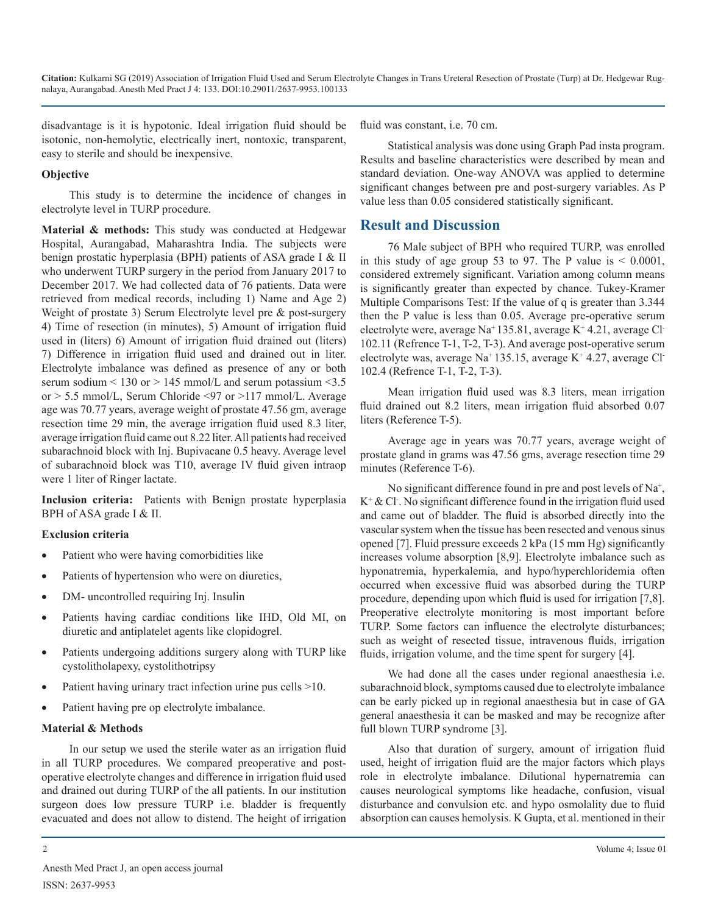**Citation:** Kulkarni SG (2019) Association of Irrigation Fluid Used and Serum Electrolyte Changes in Trans Ureteral Resection of Prostate (Turp) at Dr. Hedgewar Rugnalaya, Aurangabad. Anesth Med Pract J 4: 133. DOI:10.29011/2637-9953.100133

disadvantage is it is hypotonic. Ideal irrigation fluid should be isotonic, non-hemolytic, electrically inert, nontoxic, transparent, easy to sterile and should be inexpensive.

#### **Objective**

This study is to determine the incidence of changes in electrolyte level in TURP procedure.

**Material & methods:** This study was conducted at Hedgewar Hospital, Aurangabad, Maharashtra India. The subjects were benign prostatic hyperplasia (BPH) patients of ASA grade I & II who underwent TURP surgery in the period from January 2017 to December 2017. We had collected data of 76 patients. Data were retrieved from medical records, including 1) Name and Age 2) Weight of prostate 3) Serum Electrolyte level pre & post-surgery 4) Time of resection (in minutes), 5) Amount of irrigation fluid used in (liters) 6) Amount of irrigation fluid drained out (liters) 7) Difference in irrigation fluid used and drained out in liter. Electrolyte imbalance was defined as presence of any or both serum sodium  $\leq 130$  or  $> 145$  mmol/L and serum potassium  $\leq 3.5$ or > 5.5 mmol/L, Serum Chloride <97 or >117 mmol/L. Average age was 70.77 years, average weight of prostate 47.56 gm, average resection time 29 min, the average irrigation fluid used 8.3 liter, average irrigation fluid came out 8.22 liter. All patients had received subarachnoid block with Inj. Bupivacane 0.5 heavy. Average level of subarachnoid block was T10, average IV fluid given intraop were 1 liter of Ringer lactate.

**Inclusion criteria:** Patients with Benign prostate hyperplasia BPH of ASA grade I & II.

#### **Exclusion criteria**

- Patient who were having comorbidities like
- Patients of hypertension who were on diuretics,
- DM- uncontrolled requiring Inj. Insulin
- Patients having cardiac conditions like IHD, Old MI, on diuretic and antiplatelet agents like clopidogrel.
- Patients undergoing additions surgery along with TURP like cystolitholapexy, cystolithotripsy
- Patient having urinary tract infection urine pus cells  $>10$ .
- Patient having pre op electrolyte imbalance.

#### **Material & Methods**

In our setup we used the sterile water as an irrigation fluid in all TURP procedures. We compared preoperative and postoperative electrolyte changes and difference in irrigation fluid used and drained out during TURP of the all patients. In our institution surgeon does low pressure TURP i.e. bladder is frequently evacuated and does not allow to distend. The height of irrigation

fluid was constant, i.e. 70 cm.

Statistical analysis was done using Graph Pad insta program. Results and baseline characteristics were described by mean and standard deviation. One-way ANOVA was applied to determine significant changes between pre and post-surgery variables. As P value less than 0.05 considered statistically significant.

## **Result and Discussion**

76 Male subject of BPH who required TURP, was enrolled in this study of age group 53 to 97. The P value is  $< 0.0001$ , considered extremely significant. Variation among column means is significantly greater than expected by chance. Tukey-Kramer Multiple Comparisons Test: If the value of q is greater than 3.344 then the P value is less than 0.05. Average pre-operative serum electrolyte were, average Na<sup>+</sup> 135.81, average K<sup>+</sup> 4.21, average Cl-102.11 (Refrence T-1, T-2, T-3). And average post-operative serum electrolyte was, average Na<sup>+</sup> 135.15, average K<sup>+</sup> 4.27, average Cl<sup>-</sup> 102.4 (Refrence T-1, T-2, T-3).

Mean irrigation fluid used was 8.3 liters, mean irrigation fluid drained out 8.2 liters, mean irrigation fluid absorbed 0.07 liters (Reference T-5).

Average age in years was 70.77 years, average weight of prostate gland in grams was 47.56 gms, average resection time 29 minutes (Reference T-6).

No significant difference found in pre and post levels of Na<sup>+</sup>, K+ & Cl- . No significant difference found in the irrigation fluid used and came out of bladder. The fluid is absorbed directly into the vascular system when the tissue has been resected and venous sinus opened [7]. Fluid pressure exceeds 2 kPa (15 mm Hg) significantly increases volume absorption [8,9]. Electrolyte imbalance such as hyponatremia, hyperkalemia, and hypo/hyperchloridemia often occurred when excessive fluid was absorbed during the TURP procedure, depending upon which fluid is used for irrigation [7,8]. Preoperative electrolyte monitoring is most important before TURP. Some factors can influence the electrolyte disturbances; such as weight of resected tissue, intravenous fluids, irrigation fluids, irrigation volume, and the time spent for surgery [4].

We had done all the cases under regional anaesthesia i.e. subarachnoid block, symptoms caused due to electrolyte imbalance can be early picked up in regional anaesthesia but in case of GA general anaesthesia it can be masked and may be recognize after full blown TURP syndrome [3].

Also that duration of surgery, amount of irrigation fluid used, height of irrigation fluid are the major factors which plays role in electrolyte imbalance. Dilutional hypernatremia can causes neurological symptoms like headache, confusion, visual disturbance and convulsion etc. and hypo osmolality due to fluid absorption can causes hemolysis. K Gupta, et al. mentioned in their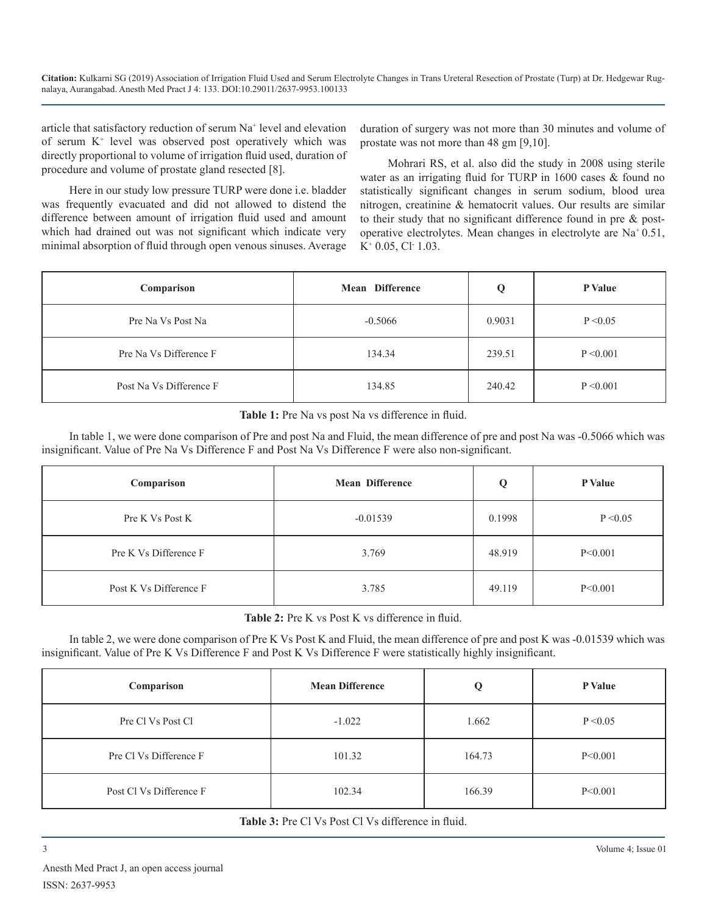**Citation:** Kulkarni SG (2019) Association of Irrigation Fluid Used and Serum Electrolyte Changes in Trans Ureteral Resection of Prostate (Turp) at Dr. Hedgewar Rugnalaya, Aurangabad. Anesth Med Pract J 4: 133. DOI:10.29011/2637-9953.100133

article that satisfactory reduction of serum Na+ level and elevation of serum K+ level was observed post operatively which was directly proportional to volume of irrigation fluid used, duration of procedure and volume of prostate gland resected [8].

duration of surgery was not more than 30 minutes and volume of prostate was not more than 48 gm [9,10].

Here in our study low pressure TURP were done i.e. bladder was frequently evacuated and did not allowed to distend the difference between amount of irrigation fluid used and amount which had drained out was not significant which indicate very minimal absorption of fluid through open venous sinuses. Average

Mohrari RS, et al. also did the study in 2008 using sterile water as an irrigating fluid for TURP in 1600 cases & found no statistically significant changes in serum sodium, blood urea nitrogen, creatinine & hematocrit values. Our results are similar to their study that no significant difference found in pre & postoperative electrolytes. Mean changes in electrolyte are Na+ 0.51,  $K^+$  0.05, Cl· 1.03.

| Comparison              | <b>Mean Difference</b> |        | <b>P</b> Value |
|-------------------------|------------------------|--------|----------------|
| Pre Na Vs Post Na       | $-0.5066$              | 0.9031 | P < 0.05       |
| Pre Na Vs Difference F  | 134.34                 | 239.51 | P < 0.001      |
| Post Na Vs Difference F | 134.85                 | 240.42 | P < 0.001      |

**Table 1:** Pre Na vs post Na vs difference in fluid.

In table 1, we were done comparison of Pre and post Na and Fluid, the mean difference of pre and post Na was -0.5066 which was insignificant. Value of Pre Na Vs Difference F and Post Na Vs Difference F were also non-significant.

| Comparison             | <b>Mean Difference</b> | Q      | P Value   |
|------------------------|------------------------|--------|-----------|
| Pre K Vs Post K        | $-0.01539$             | 0.1998 | P < 0.05  |
| Pre K Vs Difference F  | 3.769                  | 48.919 | P < 0.001 |
| Post K Vs Difference F | 3.785                  | 49.119 | P < 0.001 |

Table 2: Pre K vs Post K vs difference in fluid.

In table 2, we were done comparison of Pre K Vs Post K and Fluid, the mean difference of pre and post K was -0.01539 which was insignificant. Value of Pre K Vs Difference F and Post K Vs Difference F were statistically highly insignificant.

| Comparison              | <b>Mean Difference</b> | Q      | P Value   |
|-------------------------|------------------------|--------|-----------|
| Pre Cl Vs Post Cl       | $-1.022$               | 1.662  | P < 0.05  |
| Pre Cl Vs Difference F  | 101.32                 | 164.73 | P < 0.001 |
| Post Cl Vs Difference F | 102.34                 | 166.39 | P < 0.001 |

Table 3: Pre Cl Vs Post Cl Vs difference in fluid.